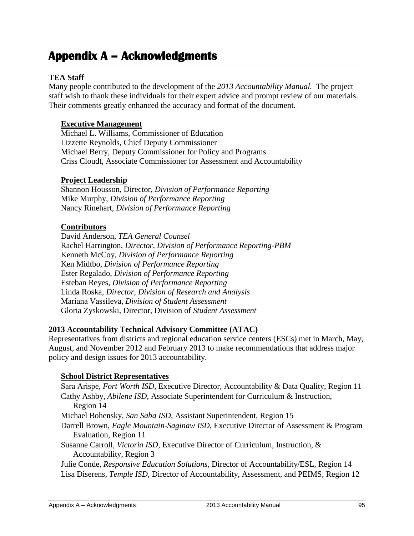# **Appendix A – Acknowledgments**

# **TEA Staff**

Many people contributed to the development of the *2013 Accountability Manual.* The project staff wish to thank these individuals for their expert advice and prompt review of our materials. Their comments greatly enhanced the accuracy and format of the document.

### **Executive Management**

Michael L. Williams, Commissioner of Education Lizzette Reynolds, Chief Deputy Commissioner Michael Berry, Deputy Commissioner for Policy and Programs Criss Cloudt, Associate Commissioner for Assessment and Accountability

### **Project Leadership**

Shannon Housson, Director, *Division of Performance Reporting* Mike Murphy, *Division of Performance Reporting* Nancy Rinehart, *Division of Performance Reporting*

### **Contributors**

David Anderson, *TEA General Counsel* Rachel Harrington, *Director, Division of Performance Reporting-PBM* Kenneth McCoy, *Division of Performance Reporting* Ken Midtbo, *Division of Performance Reporting* Ester Regalado, *Division of Performance Reporting* Esteban Reyes, *Division of Performance Reporting* Linda Roska, *Director, Division of Research and Analysis* Mariana Vassileva, *Division of Student Assessment* Gloria Zyskowski, Director, Division of *Student Assessment*

### **2013 Accountability Technical Advisory Committee (ATAC)**

Representatives from districts and regional education service centers (ESCs) met in March, May, August, and November 2012 and February 2013 to make recommendations that address major policy and design issues for 2013 accountability.

### **School District Representatives**

Sara Arispe, *Fort Worth ISD*, Executive Director, Accountability & Data Quality, Region 11 Cathy Ashby, *Abilene ISD*, Associate Superintendent for Curriculum & Instruction, Region 14 Michael Bohensky, *San Saba ISD*, Assistant Superintendent, Region 15 Darrell Brown, *Eagle Mountain-Saginaw ISD*, Executive Director of Assessment & Program Evaluation, Region 11 Susanne Carroll, *Victoria ISD*, Executive Director of Curriculum, Instruction, & Accountability, Region 3 Julie Conde, *Responsive Education Solutions,* Director of Accountability/ESL, Region 14 Lisa Diserens, *Temple ISD*, Director of Accountability, Assessment, and PEIMS, Region 12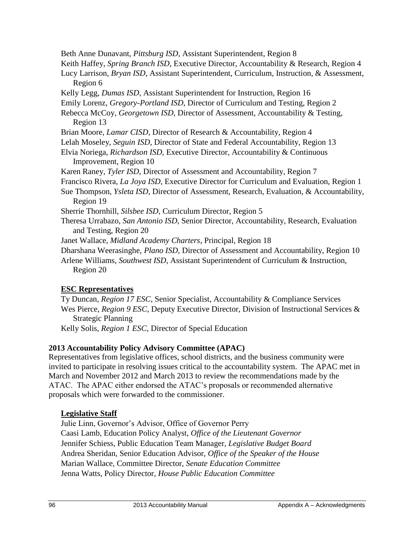Beth Anne Dunavant, *Pittsburg ISD*, Assistant Superintendent, Region 8

Keith Haffey, *Spring Branch ISD*, Executive Director, Accountability & Research, Region 4

Lucy Larrison, *Bryan ISD*, Assistant Superintendent, Curriculum, Instruction, & Assessment, Region 6

Kelly Legg, *Dumas ISD*, Assistant Superintendent for Instruction, Region 16

Emily Lorenz, *Gregory-Portland ISD*, Director of Curriculum and Testing, Region 2

Rebecca McCoy, *Georgetown ISD*, Director of Assessment, Accountability & Testing, Region 13

Brian Moore, *Lamar CISD*, Director of Research & Accountability, Region 4

Lelah Moseley, *Seguin ISD*, Director of State and Federal Accountability, Region 13

- Elvia Noriega, *Richardson ISD*, Executive Director, Accountability & Continuous Improvement, Region 10
- Karen Raney, *Tyler ISD*, Director of Assessment and Accountability, Region 7
- Francisco Rivera, *La Joya ISD*, Executive Director for Curriculum and Evaluation, Region 1
- Sue Thompson, *Ysleta ISD*, Director of Assessment, Research, Evaluation, & Accountability, Region 19

Sherrie Thornhill, *Silsbee ISD*, Curriculum Director, Region 5

- Theresa Urrabazo, *San Antonio ISD*, Senior Director, Accountability, Research, Evaluation and Testing, Region 20
- Janet Wallace, *Midland Academy Charters*, Principal, Region 18

Dharshana Weerasinghe, *Plano ISD*, Director of Assessment and Accountability, Region 10

Arlene Williams, *Southwest ISD*, Assistant Superintendent of Curriculum & Instruction, Region 20

# **ESC Representatives**

Ty Duncan, *Region 17 ESC*, Senior Specialist, Accountability & Compliance Services Wes Pierce, *Region 9 ESC*, Deputy Executive Director, Division of Instructional Services & Strategic Planning

Kelly Solis, *Region 1 ESC*, Director of Special Education

# **2013 Accountability Policy Advisory Committee (APAC)**

Representatives from legislative offices, school districts, and the business community were invited to participate in resolving issues critical to the accountability system. The APAC met in March and November 2012 and March 2013 to review the recommendations made by the ATAC. The APAC either endorsed the ATAC's proposals or recommended alternative proposals which were forwarded to the commissioner.

# **Legislative Staff**

Julie Linn, Governor's Advisor, Office of Governor Perry Caasi Lamb, Education Policy Analyst, *Office of the Lieutenant Governor* Jennifer Schiess, Public Education Team Manager, *Legislative Budget Board* Andrea Sheridan, Senior Education Advisor, *Office of the Speaker of the House* Marian Wallace, Committee Director, *Senate Education Committee* Jenna Watts, Policy Director*, House Public Education Committee*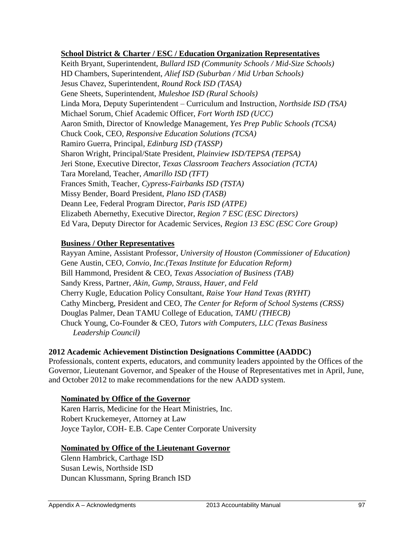### **School District & Charter / ESC / Education Organization Representatives**

Keith Bryant, Superintendent, *Bullard ISD (Community Schools / Mid-Size Schools)* HD Chambers, Superintendent, *Alief ISD (Suburban / Mid Urban Schools)* Jesus Chavez, Superintendent, *Round Rock ISD (TASA)* Gene Sheets, Superintendent, *Muleshoe ISD (Rural Schools)* Linda Mora, Deputy Superintendent – Curriculum and Instruction, *Northside ISD (TSA)* Michael Sorum, Chief Academic Officer, *Fort Worth ISD (UCC)* Aaron Smith, Director of Knowledge Management, *Yes Prep Public Schools (TCSA)* Chuck Cook, CEO, *Responsive Education Solutions (TCSA)* Ramiro Guerra, Principal, *Edinburg ISD (TASSP)* Sharon Wright, Principal/State President, *Plainview ISD/TEPSA (TEPSA)* Jeri Stone, Executive Director, *Texas Classroom Teachers Association (TCTA)* Tara Moreland, Teacher, *Amarillo ISD (TFT)* Frances Smith, Teacher*, Cypress-Fairbanks ISD (TSTA)* Missy Bender, Board President, *Plano ISD (TASB)* Deann Lee, Federal Program Director, *Paris ISD (ATPE)* Elizabeth Abernethy, Executive Director, *Region 7 ESC (ESC Directors)* Ed Vara, Deputy Director for Academic Services, *Region 13 ESC (ESC Core Group)*

### **Business / Other Representatives**

Rayyan Amine, Assistant Professor, *University of Houston (Commissioner of Education)* Gene Austin, CEO, *Convio, Inc.(Texas Institute for Education Reform)* Bill Hammond, President & CEO, *Texas Association of Business (TAB)* Sandy Kress, Partner, *Akin, Gump, Strauss, Hauer, and Feld* Cherry Kugle, Education Policy Consultant, *Raise Your Hand Texas (RYHT)* Cathy Mincberg, President and CEO, *The Center for Reform of School Systems (CRSS)* Douglas Palmer, Dean TAMU College of Education, *TAMU (THECB)* Chuck Young, Co-Founder & CEO, *Tutors with Computers, LLC (Texas Business Leadership Council)*

### **2012 Academic Achievement Distinction Designations Committee (AADDC)**

Professionals, content experts, educators, and community leaders appointed by the Offices of the Governor, Lieutenant Governor, and Speaker of the House of Representatives met in April, June, and October 2012 to make recommendations for the new AADD system.

### **Nominated by Office of the Governor**

Karen Harris, Medicine for the Heart Ministries, Inc. Robert Kruckemeyer, Attorney at Law Joyce Taylor, COH- E.B. Cape Center Corporate University

### **Nominated by Office of the Lieutenant Governor**

Glenn Hambrick, Carthage ISD Susan Lewis, Northside ISD Duncan Klussmann, Spring Branch ISD